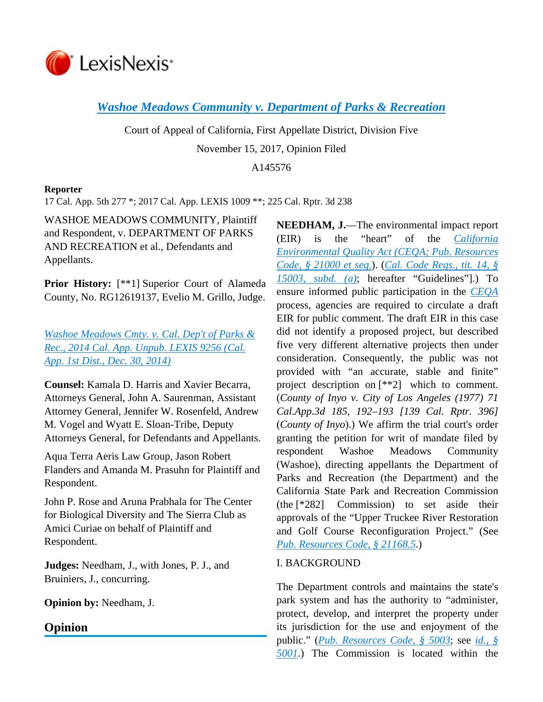

*[Washoe Meadows Community v. Department of Parks & Recreation](https://advance.lexis.com/api/document?collection=cases&id=urn:contentItem:5PYS-2CY1-F04B-N0W1-00000-00&context=)*

Court of Appeal of California, First Appellate District, Division Five November 15, 2017, Opinion Filed

A145576

### **Reporter**

17 Cal. App. 5th 277 \*; 2017 Cal. App. LEXIS 1009 \*\*; 225 Cal. Rptr. 3d 238

WASHOE MEADOWS COMMUNITY, Plaintiff and Respondent, v. DEPARTMENT OF PARKS AND RECREATION et al., Defendants and Appellants.

**Prior History:** [\*\*1] Superior Court of Alameda County, No. RG12619137, Evelio M. Grillo, Judge.

*[Washoe Meadows Cmty. v. Cal. Dep't of Parks &](https://advance.lexis.com/api/document?collection=cases&id=urn:contentItem:5DYJ-2TB1-F04B-S4PP-00000-00&context=)  [Rec., 2014 Cal. App. Unpub. LEXIS 9256 \(Cal.](https://advance.lexis.com/api/document?collection=cases&id=urn:contentItem:5DYJ-2TB1-F04B-S4PP-00000-00&context=)  [App. 1st Dist., Dec. 30, 2014\)](https://advance.lexis.com/api/document?collection=cases&id=urn:contentItem:5DYJ-2TB1-F04B-S4PP-00000-00&context=)*

**Counsel:** Kamala D. Harris and Xavier Becarra, Attorneys General, John A. Saurenman, Assistant Attorney General, Jennifer W. Rosenfeld, Andrew M. Vogel and Wyatt E. Sloan-Tribe, Deputy Attorneys General, for Defendants and Appellants.

Aqua Terra Aeris Law Group, Jason Robert Flanders and Amanda M. Prasuhn for Plaintiff and Respondent.

John P. Rose and Aruna Prabhala for The Center for Biological Diversity and The Sierra Club as Amici Curiae on behalf of Plaintiff and Respondent.

**Judges:** Needham, J., with Jones, P. J., and Bruiniers, J., concurring.

**Opinion by:** Needham, J.

# **Opinion**

**NEEDHAM, J.**—The environmental impact report (EIR) is the "heart" of the *[California](https://advance.lexis.com/api/document?collection=statutes-legislation&id=urn:contentItem:5J6S-5YJ1-66B9-8516-00000-00&context=)  [Environmental Quality Act \(CEQA; Pub. Resources](https://advance.lexis.com/api/document?collection=statutes-legislation&id=urn:contentItem:5J6S-5YJ1-66B9-8516-00000-00&context=)  [Code, § 21000 et seq.](https://advance.lexis.com/api/document?collection=statutes-legislation&id=urn:contentItem:5J6S-5YJ1-66B9-8516-00000-00&context=)*). (*[Cal. Code Regs., tit. 14, §](https://advance.lexis.com/api/document?collection=administrative-codes&id=urn:contentItem:5381-TN70-0012-J527-00000-00&context=)  [15003, subd. \(a\)](https://advance.lexis.com/api/document?collection=administrative-codes&id=urn:contentItem:5381-TN70-0012-J527-00000-00&context=)*; hereafter "Guidelines"].) To ensure informed public participation in the *[CEQA](https://advance.lexis.com/api/document?collection=statutes-legislation&id=urn:contentItem:5J6S-5YJ1-66B9-8516-00000-00&context=)* process, agencies are required to circulate a draft EIR for public comment. The draft EIR in this case did not identify a proposed project, but described five very different alternative projects then under consideration. Consequently, the public was not provided with "an accurate, stable and finite" project description on [\*\*2] which to comment. (*County of Inyo v. City of Los Angeles (1977) 71 Cal.App.3d 185, 192–193 [139 Cal. Rptr. 396]* (*County of Inyo*).) We affirm the trial court's order granting the petition for writ of mandate filed by respondent Washoe Meadows Community (Washoe), directing appellants the Department of Parks and Recreation (the Department) and the California State Park and Recreation Commission (the [\*282] Commission) to set aside their approvals of the "Upper Truckee River Restoration and Golf Course Reconfiguration Project." (See *[Pub. Resources Code, § 21168.5](https://advance.lexis.com/api/document?collection=statutes-legislation&id=urn:contentItem:5J6S-5YK1-66B9-849W-00000-00&context=)*.)

# I. BACKGROUND

The Department controls and maintains the state's park system and has the authority to "administer, protect, develop, and interpret the property under its jurisdiction for the use and enjoyment of the public." (*[Pub. Resources Code, § 5003](https://advance.lexis.com/api/document?collection=statutes-legislation&id=urn:contentItem:5J6S-5X91-66B9-80GV-00000-00&context=)*; see *[id., §](https://advance.lexis.com/api/document?collection=statutes-legislation&id=urn:contentItem:5J6S-5X91-66B9-80FB-00000-00&context=)  [5001](https://advance.lexis.com/api/document?collection=statutes-legislation&id=urn:contentItem:5J6S-5X91-66B9-80FB-00000-00&context=)*.) The Commission is located within the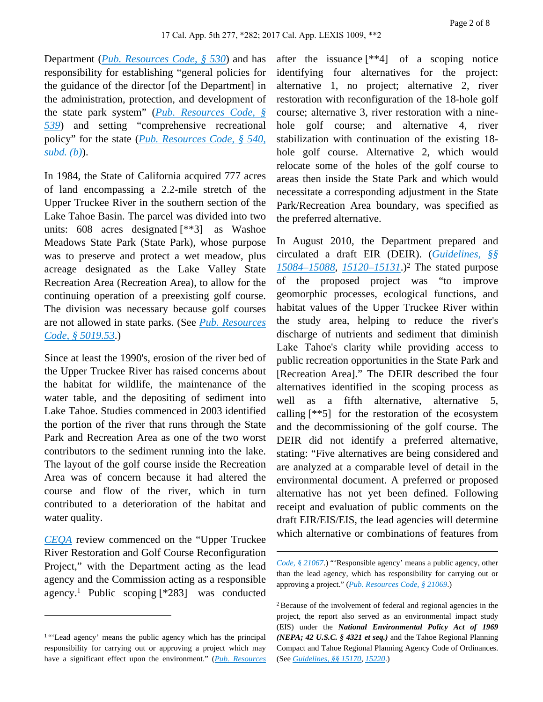Department (*[Pub. Resources Code, § 530](https://advance.lexis.com/api/document?collection=statutes-legislation&id=urn:contentItem:5J6S-5WS1-66B9-854G-00000-00&context=)*) and has responsibility for establishing "general policies for the guidance of the director [of the Department] in the administration, protection, and development of the state park system" (*[Pub. Resources Code, §](https://advance.lexis.com/api/document?collection=statutes-legislation&id=urn:contentItem:5J6S-5WS1-66B9-8558-00000-00&context=)  [539](https://advance.lexis.com/api/document?collection=statutes-legislation&id=urn:contentItem:5J6S-5WS1-66B9-8558-00000-00&context=)*) and setting "comprehensive recreational policy" for the state (*[Pub. Resources Code, § 540,](https://advance.lexis.com/api/document?collection=statutes-legislation&id=urn:contentItem:5J6S-5WS1-66B9-855B-00000-00&context=)  [subd. \(b\)](https://advance.lexis.com/api/document?collection=statutes-legislation&id=urn:contentItem:5J6S-5WS1-66B9-855B-00000-00&context=)*).

In 1984, the State of California acquired 777 acres of land encompassing a 2.2-mile stretch of the Upper Truckee River in the southern section of the Lake Tahoe Basin. The parcel was divided into two units: 608 acres designated [\*\*3] as Washoe Meadows State Park (State Park), whose purpose was to preserve and protect a wet meadow, plus acreage designated as the Lake Valley State Recreation Area (Recreation Area), to allow for the continuing operation of a preexisting golf course. The division was necessary because golf courses are not allowed in state parks. (See *[Pub. Resources](https://advance.lexis.com/api/document?collection=statutes-legislation&id=urn:contentItem:5J6S-5X91-66B9-80SR-00000-00&context=)  [Code, § 5019.53](https://advance.lexis.com/api/document?collection=statutes-legislation&id=urn:contentItem:5J6S-5X91-66B9-80SR-00000-00&context=)*.)

Since at least the 1990's, erosion of the river bed of the Upper Truckee River has raised concerns about the habitat for wildlife, the maintenance of the water table, and the depositing of sediment into Lake Tahoe. Studies commenced in 2003 identified the portion of the river that runs through the State Park and Recreation Area as one of the two worst contributors to the sediment running into the lake. The layout of the golf course inside the Recreation Area was of concern because it had altered the course and flow of the river, which in turn contributed to a deterioration of the habitat and water quality.

*[CEQA](https://advance.lexis.com/api/document?collection=statutes-legislation&id=urn:contentItem:5J6S-5YJ1-66B9-8516-00000-00&context=)* review commenced on the "Upper Truckee River Restoration and Golf Course Reconfiguration Project," with the Department acting as the lead agency and the Commission acting as a responsible agency.<sup>1</sup> Public scoping [\*283] was conducted after the issuance [\*\*4] of a scoping notice identifying four alternatives for the project: alternative 1, no project; alternative 2, river restoration with reconfiguration of the 18-hole golf course; alternative 3, river restoration with a ninehole golf course; and alternative 4, river stabilization with continuation of the existing 18 hole golf course. Alternative 2, which would relocate some of the holes of the golf course to areas then inside the State Park and which would necessitate a corresponding adjustment in the State Park/Recreation Area boundary, was specified as the preferred alternative.

In August 2010, the Department prepared and circulated a draft EIR (DEIR). (*[Guidelines, §§](https://advance.lexis.com/api/document?collection=administrative-codes&id=urn:contentItem:5381-TN80-0012-J53V-00000-00&context=)  [15084–15088](https://advance.lexis.com/api/document?collection=administrative-codes&id=urn:contentItem:5381-TN80-0012-J53V-00000-00&context=)*, *[15120–15131](https://advance.lexis.com/api/document?collection=administrative-codes&id=urn:contentItem:5381-TN90-0012-J54V-00000-00&context=)*.)<sup>2</sup> The stated purpose of the proposed project was "to improve geomorphic processes, ecological functions, and habitat values of the Upper Truckee River within the study area, helping to reduce the river's discharge of nutrients and sediment that diminish Lake Tahoe's clarity while providing access to public recreation opportunities in the State Park and [Recreation Area]." The DEIR described the four alternatives identified in the scoping process as well as a fifth alternative, alternative 5, calling [\*\*5] for the restoration of the ecosystem and the decommissioning of the golf course. The DEIR did not identify a preferred alternative, stating: "Five alternatives are being considered and are analyzed at a comparable level of detail in the environmental document. A preferred or proposed alternative has not yet been defined. Following receipt and evaluation of public comments on the draft EIR/EIS/EIS, the lead agencies will determine which alternative or combinations of features from

<sup>&</sup>lt;sup>1</sup>"'Lead agency' means the public agency which has the principal responsibility for carrying out or approving a project which may have a significant effect upon the environment." (*[Pub. Resources](https://advance.lexis.com/api/document?collection=statutes-legislation&id=urn:contentItem:5J6S-5YJ1-66B9-853D-00000-00&context=)* 

*[Code, § 21067](https://advance.lexis.com/api/document?collection=statutes-legislation&id=urn:contentItem:5J6S-5YJ1-66B9-853D-00000-00&context=)*.) "'Responsible agency' means a public agency, other than the lead agency, which has responsibility for carrying out or approving a project." (*[Pub. Resources Code, § 21069](https://advance.lexis.com/api/document?collection=statutes-legislation&id=urn:contentItem:5J6S-5YJ1-66B9-853M-00000-00&context=)*.)

<sup>2</sup>Because of the involvement of federal and regional agencies in the project, the report also served as an environmental impact study (EIS) under the *National Environmental Policy Act of 1969 (NEPA; 42 U.S.C. § 4321 et seq.)* and the Tahoe Regional Planning Compact and Tahoe Regional Planning Agency Code of Ordinances. (See *[Guidelines, §§ 15170](https://advance.lexis.com/api/document?collection=administrative-codes&id=urn:contentItem:5381-TNC0-0012-J003-00000-00&context=)*, *[15220](https://advance.lexis.com/api/document?collection=administrative-codes&id=urn:contentItem:5381-TNC0-0012-J01C-00000-00&context=)*.)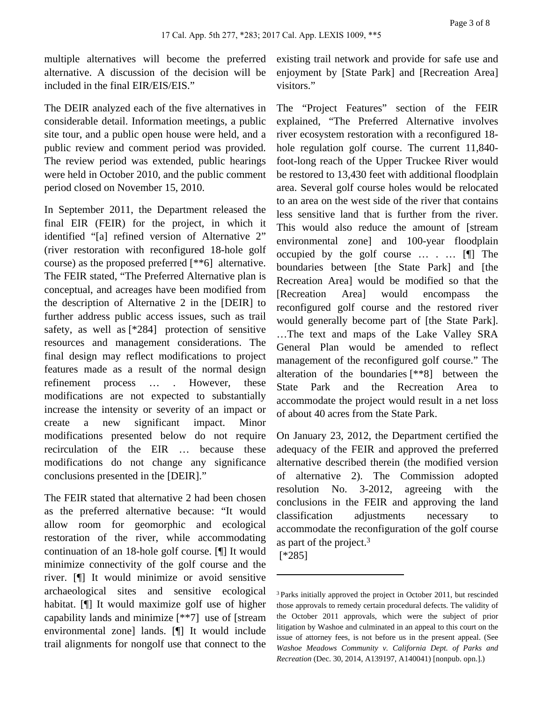multiple alternatives will become the preferred alternative. A discussion of the decision will be included in the final EIR/EIS/EIS."

The DEIR analyzed each of the five alternatives in considerable detail. Information meetings, a public site tour, and a public open house were held, and a public review and comment period was provided. The review period was extended, public hearings were held in October 2010, and the public comment period closed on November 15, 2010.

In September 2011, the Department released the final EIR (FEIR) for the project, in which it identified "[a] refined version of Alternative 2" (river restoration with reconfigured 18-hole golf course) as the proposed preferred [\*\*6] alternative. The FEIR stated, "The Preferred Alternative plan is conceptual, and acreages have been modified from the description of Alternative 2 in the [DEIR] to further address public access issues, such as trail safety, as well as [\*284] protection of sensitive resources and management considerations. The final design may reflect modifications to project features made as a result of the normal design refinement process … . However, these modifications are not expected to substantially increase the intensity or severity of an impact or create a new significant impact. Minor modifications presented below do not require recirculation of the EIR … because these modifications do not change any significance conclusions presented in the [DEIR]."

The FEIR stated that alternative 2 had been chosen as the preferred alternative because: "It would allow room for geomorphic and ecological restoration of the river, while accommodating continuation of an 18-hole golf course. [¶] It would minimize connectivity of the golf course and the river. [¶] It would minimize or avoid sensitive archaeological sites and sensitive ecological habitat. [¶] It would maximize golf use of higher capability lands and minimize [\*\*7] use of [stream environmental zone] lands. [¶] It would include trail alignments for nongolf use that connect to the existing trail network and provide for safe use and enjoyment by [State Park] and [Recreation Area] visitors."

The "Project Features" section of the FEIR explained, "The Preferred Alternative involves river ecosystem restoration with a reconfigured 18 hole regulation golf course. The current 11,840 foot-long reach of the Upper Truckee River would be restored to 13,430 feet with additional floodplain area. Several golf course holes would be relocated to an area on the west side of the river that contains less sensitive land that is further from the river. This would also reduce the amount of [stream environmental zone] and 100-year floodplain occupied by the golf course … . … [¶] The boundaries between [the State Park] and [the Recreation Area] would be modified so that the [Recreation Area] would encompass the reconfigured golf course and the restored river would generally become part of [the State Park]. …The text and maps of the Lake Valley SRA General Plan would be amended to reflect management of the reconfigured golf course." The alteration of the boundaries [\*\*8] between the State Park and the Recreation Area to accommodate the project would result in a net loss of about 40 acres from the State Park.

On January 23, 2012, the Department certified the adequacy of the FEIR and approved the preferred alternative described therein (the modified version of alternative 2). The Commission adopted resolution No. 3-2012, agreeing with the conclusions in the FEIR and approving the land classification adjustments necessary to accommodate the reconfiguration of the golf course as part of the project.<sup>3</sup>

[\*285]

<sup>3</sup>Parks initially approved the project in October 2011, but rescinded those approvals to remedy certain procedural defects. The validity of the October 2011 approvals, which were the subject of prior litigation by Washoe and culminated in an appeal to this court on the issue of attorney fees, is not before us in the present appeal. (See *Washoe Meadows Community v. California Dept. of Parks and Recreation* (Dec. 30, 2014, A139197, A140041) [nonpub. opn.].)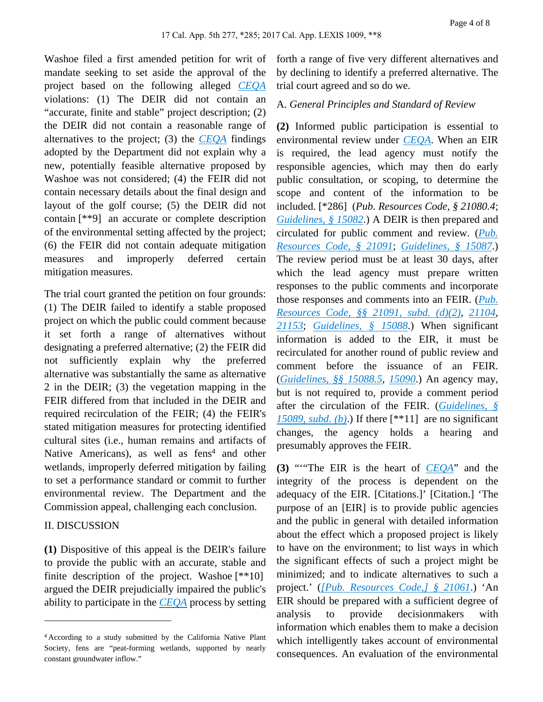Washoe filed a first amended petition for writ of mandate seeking to set aside the approval of the project based on the following alleged *[CEQA](https://advance.lexis.com/api/document?collection=statutes-legislation&id=urn:contentItem:5J6S-5YJ1-66B9-8516-00000-00&context=)* violations: (1) The DEIR did not contain an "accurate, finite and stable" project description; (2) the DEIR did not contain a reasonable range of alternatives to the project; (3) the *[CEQA](https://advance.lexis.com/api/document?collection=statutes-legislation&id=urn:contentItem:5J6S-5YJ1-66B9-8516-00000-00&context=)* findings adopted by the Department did not explain why a new, potentially feasible alternative proposed by Washoe was not considered; (4) the FEIR did not contain necessary details about the final design and layout of the golf course; (5) the DEIR did not contain [\*\*9] an accurate or complete description of the environmental setting affected by the project; (6) the FEIR did not contain adequate mitigation measures and improperly deferred certain mitigation measures.

The trial court granted the petition on four grounds: (1) The DEIR failed to identify a stable proposed project on which the public could comment because it set forth a range of alternatives without designating a preferred alternative; (2) the FEIR did not sufficiently explain why the preferred alternative was substantially the same as alternative 2 in the DEIR; (3) the vegetation mapping in the FEIR differed from that included in the DEIR and required recirculation of the FEIR; (4) the FEIR's stated mitigation measures for protecting identified cultural sites (i.e., human remains and artifacts of Native Americans), as well as fens<sup>4</sup> and other wetlands, improperly deferred mitigation by failing to set a performance standard or commit to further environmental review. The Department and the Commission appeal, challenging each conclusion.

#### II. DISCUSSION

**(1)** Dispositive of this appeal is the DEIR's failure to provide the public with an accurate, stable and finite description of the project. Washoe  $[**10]$ argued the DEIR prejudicially impaired the public's ability to participate in the *[CEQA](https://advance.lexis.com/api/document?collection=statutes-legislation&id=urn:contentItem:5J6S-5YJ1-66B9-8516-00000-00&context=)* process by setting

forth a range of five very different alternatives and by declining to identify a preferred alternative. The trial court agreed and so do we.

### A. *General Principles and Standard of Review*

**(2)** Informed public participation is essential to environmental review under *[CEQA](https://advance.lexis.com/api/document?collection=statutes-legislation&id=urn:contentItem:5J6S-5YJ1-66B9-8516-00000-00&context=)*. When an EIR is required, the lead agency must notify the responsible agencies, which may then do early public consultation, or scoping, to determine the scope and content of the information to be included. [\*286] (*Pub. Resources Code, § 21080.4*; *[Guidelines, § 15082](https://advance.lexis.com/api/document?collection=administrative-codes&id=urn:contentItem:5381-TN80-0012-J53R-00000-00&context=)*.) A DEIR is then prepared and circulated for public comment and review. (*[Pub.](https://advance.lexis.com/api/document?collection=statutes-legislation&id=urn:contentItem:8MKH-CBW2-D6RV-H32C-00000-00&context=)  [Resources Code, § 21091](https://advance.lexis.com/api/document?collection=statutes-legislation&id=urn:contentItem:8MKH-CBW2-D6RV-H32C-00000-00&context=)*; *[Guidelines, § 15087](https://advance.lexis.com/api/document?collection=administrative-codes&id=urn:contentItem:5381-TN80-0012-J53Y-00000-00&context=)*.) The review period must be at least 30 days, after which the lead agency must prepare written responses to the public comments and incorporate those responses and comments into an FEIR. (*[Pub.](https://advance.lexis.com/api/document?collection=statutes-legislation&id=urn:contentItem:8MKH-CBW2-D6RV-H32C-00000-00&context=)  [Resources Code, §§ 21091, subd. \(d\)\(2\)](https://advance.lexis.com/api/document?collection=statutes-legislation&id=urn:contentItem:8MKH-CBW2-D6RV-H32C-00000-00&context=)*, *[21104](https://advance.lexis.com/api/document?collection=statutes-legislation&id=urn:contentItem:5J6S-5YK1-66B9-843W-00000-00&context=)*, *[21153](https://advance.lexis.com/api/document?collection=statutes-legislation&id=urn:contentItem:5J6S-5YK1-66B9-845C-00000-00&context=)*; *[Guidelines, § 15088](https://advance.lexis.com/api/document?collection=administrative-codes&id=urn:contentItem:5381-TN80-0012-J540-00000-00&context=)*.) When significant information is added to the EIR, it must be recirculated for another round of public review and comment before the issuance of an FEIR. (*[Guidelines, §§ 15088.5](https://advance.lexis.com/api/document?collection=administrative-codes&id=urn:contentItem:5381-TN80-0012-J541-00000-00&context=)*, *[15090](https://advance.lexis.com/api/document?collection=administrative-codes&id=urn:contentItem:5381-TN80-0012-J543-00000-00&context=)*.) An agency may, but is not required to, provide a comment period after the circulation of the FEIR. (*[Guidelines, §](https://advance.lexis.com/api/document?collection=administrative-codes&id=urn:contentItem:5381-TN80-0012-J542-00000-00&context=)  [15089, subd. \(b\)](https://advance.lexis.com/api/document?collection=administrative-codes&id=urn:contentItem:5381-TN80-0012-J542-00000-00&context=)*.) If there [\*\*11] are no significant changes, the agency holds a hearing and presumably approves the FEIR.

**(3)** "'"The EIR is the heart of *[CEQA](https://advance.lexis.com/api/document?collection=statutes-legislation&id=urn:contentItem:5J6S-5YJ1-66B9-8516-00000-00&context=)*" and the integrity of the process is dependent on the adequacy of the EIR. [Citations.]' [Citation.] 'The purpose of an [EIR] is to provide public agencies and the public in general with detailed information about the effect which a proposed project is likely to have on the environment; to list ways in which the significant effects of such a project might be minimized; and to indicate alternatives to such a project.' (*[\[Pub. Resources Code,\] § 21061](https://advance.lexis.com/api/document?collection=statutes-legislation&id=urn:contentItem:5J6S-5YJ1-66B9-852D-00000-00&context=)*.) 'An EIR should be prepared with a sufficient degree of analysis to provide decisionmakers with information which enables them to make a decision which intelligently takes account of environmental consequences. An evaluation of the environmental

<sup>4</sup>According to a study submitted by the California Native Plant Society, fens are "peat-forming wetlands, supported by nearly constant groundwater inflow."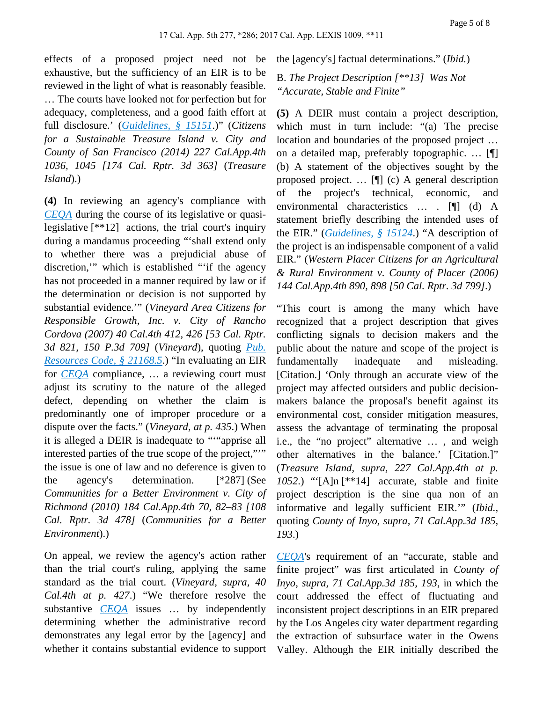effects of a proposed project need not be exhaustive, but the sufficiency of an EIR is to be reviewed in the light of what is reasonably feasible. … The courts have looked not for perfection but for adequacy, completeness, and a good faith effort at full disclosure.' (*[Guidelines, § 15151](https://advance.lexis.com/api/document?collection=administrative-codes&id=urn:contentItem:5381-TNB0-0012-J55T-00000-00&context=)*.)" (*Citizens for a Sustainable Treasure Island v. City and County of San Francisco (2014) 227 Cal.App.4th 1036, 1045 [174 Cal. Rptr. 3d 363]* (*Treasure Island*).)

**(4)** In reviewing an agency's compliance with *[CEQA](https://advance.lexis.com/api/document?collection=statutes-legislation&id=urn:contentItem:5J6S-5YJ1-66B9-8516-00000-00&context=)* during the course of its legislative or quasilegislative [\*\*12] actions, the trial court's inquiry during a mandamus proceeding "'shall extend only to whether there was a prejudicial abuse of discretion,'" which is established "'if the agency has not proceeded in a manner required by law or if the determination or decision is not supported by substantial evidence.'" (*Vineyard Area Citizens for Responsible Growth, Inc. v. City of Rancho Cordova (2007) 40 Cal.4th 412, 426 [53 Cal. Rptr. 3d 821, 150 P.3d 709]* (*Vineyard*), quoting *[Pub.](https://advance.lexis.com/api/document?collection=statutes-legislation&id=urn:contentItem:5J6S-5YK1-66B9-849W-00000-00&context=)  [Resources Code, § 21168.5](https://advance.lexis.com/api/document?collection=statutes-legislation&id=urn:contentItem:5J6S-5YK1-66B9-849W-00000-00&context=)*.) "In evaluating an EIR for *[CEQA](https://advance.lexis.com/api/document?collection=statutes-legislation&id=urn:contentItem:5J6S-5YJ1-66B9-8516-00000-00&context=)* compliance, … a reviewing court must adjust its scrutiny to the nature of the alleged defect, depending on whether the claim is predominantly one of improper procedure or a dispute over the facts." (*Vineyard, at p. 435*.) When it is alleged a DEIR is inadequate to "'"apprise all interested parties of the true scope of the project,"'" the issue is one of law and no deference is given to the agency's determination. [\*287] (See *Communities for a Better Environment v. City of Richmond (2010) 184 Cal.App.4th 70, 82–83 [108 Cal. Rptr. 3d 478]* (*Communities for a Better Environment*).)

On appeal, we review the agency's action rather than the trial court's ruling, applying the same standard as the trial court. (*Vineyard, supra, 40 Cal.4th at p. 427*.) "We therefore resolve the substantive *[CEQA](https://advance.lexis.com/api/document?collection=statutes-legislation&id=urn:contentItem:5J6S-5YJ1-66B9-8516-00000-00&context=)* issues … by independently determining whether the administrative record demonstrates any legal error by the [agency] and whether it contains substantial evidence to support the [agency's] factual determinations." (*Ibid.*)

## B. *The Project Description [\*\*13] Was Not "Accurate, Stable and Finite"*

**(5)** A DEIR must contain a project description, which must in turn include: "(a) The precise location and boundaries of the proposed project … on a detailed map, preferably topographic. … [¶] (b) A statement of the objectives sought by the proposed project. … [¶] (c) A general description of the project's technical, economic, and environmental characteristics … . [¶] (d) A statement briefly describing the intended uses of the EIR." (*[Guidelines, § 15124](https://advance.lexis.com/api/document?collection=administrative-codes&id=urn:contentItem:5381-TN90-0012-J550-00000-00&context=)*.) "A description of the project is an indispensable component of a valid EIR." (*Western Placer Citizens for an Agricultural & Rural Environment v. County of Placer (2006) 144 Cal.App.4th 890, 898 [50 Cal. Rptr. 3d 799]*.)

"This court is among the many which have recognized that a project description that gives conflicting signals to decision makers and the public about the nature and scope of the project is fundamentally inadequate and misleading. [Citation.] 'Only through an accurate view of the project may affected outsiders and public decisionmakers balance the proposal's benefit against its environmental cost, consider mitigation measures, assess the advantage of terminating the proposal i.e., the "no project" alternative … , and weigh other alternatives in the balance.' [Citation.]" (*Treasure Island, supra, 227 Cal.App.4th at p. 1052*.) "'[A]n [\*\*14] accurate, stable and finite project description is the sine qua non of an informative and legally sufficient EIR.'" (*Ibid.*, quoting *County of Inyo, supra, 71 Cal.App.3d 185, 193*.)

*[CEQA](https://advance.lexis.com/api/document?collection=statutes-legislation&id=urn:contentItem:5J6S-5YJ1-66B9-8516-00000-00&context=)*'s requirement of an "accurate, stable and finite project" was first articulated in *County of Inyo, supra, 71 Cal.App.3d 185, 193*, in which the court addressed the effect of fluctuating and inconsistent project descriptions in an EIR prepared by the Los Angeles city water department regarding the extraction of subsurface water in the Owens Valley. Although the EIR initially described the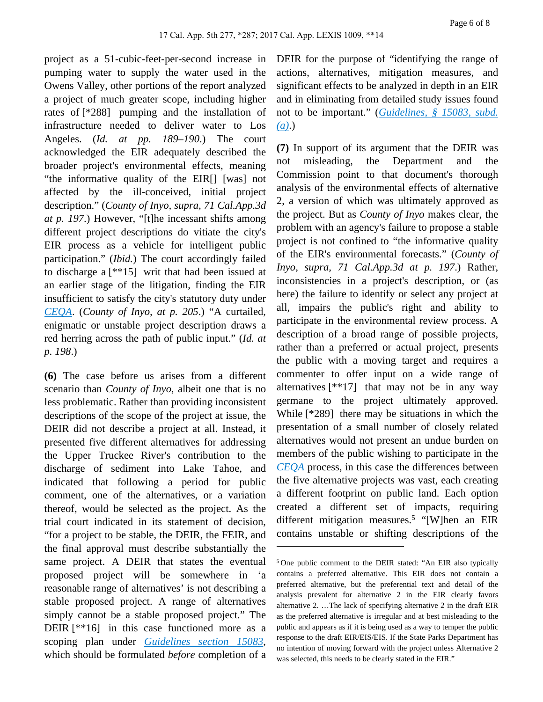project as a 51-cubic-feet-per-second increase in pumping water to supply the water used in the Owens Valley, other portions of the report analyzed a project of much greater scope, including higher rates of [\*288] pumping and the installation of infrastructure needed to deliver water to Los Angeles. (*Id. at pp. 189–190*.) The court acknowledged the EIR adequately described the broader project's environmental effects, meaning "the informative quality of the EIR[] [was] not affected by the ill-conceived, initial project description." (*County of Inyo, supra, 71 Cal.App.3d at p. 197*.) However, "[t]he incessant shifts among different project descriptions do vitiate the city's EIR process as a vehicle for intelligent public participation." (*Ibid.*) The court accordingly failed to discharge a [\*\*15] writ that had been issued at an earlier stage of the litigation, finding the EIR insufficient to satisfy the city's statutory duty under *[CEQA](https://advance.lexis.com/api/document?collection=statutes-legislation&id=urn:contentItem:5J6S-5YJ1-66B9-8516-00000-00&context=)*. (*County of Inyo, at p. 205*.) "A curtailed, enigmatic or unstable project description draws a red herring across the path of public input." (*Id. at p. 198*.)

**(6)** The case before us arises from a different scenario than *County of Inyo*, albeit one that is no less problematic. Rather than providing inconsistent descriptions of the scope of the project at issue, the DEIR did not describe a project at all. Instead, it presented five different alternatives for addressing the Upper Truckee River's contribution to the discharge of sediment into Lake Tahoe, and indicated that following a period for public comment, one of the alternatives, or a variation thereof, would be selected as the project. As the trial court indicated in its statement of decision, "for a project to be stable, the DEIR, the FEIR, and the final approval must describe substantially the same project. A DEIR that states the eventual proposed project will be somewhere in 'a reasonable range of alternatives' is not describing a stable proposed project. A range of alternatives simply cannot be a stable proposed project." The DEIR [\*\*16] in this case functioned more as a scoping plan under *[Guidelines section 15083](https://advance.lexis.com/api/document?collection=administrative-codes&id=urn:contentItem:5381-TN80-0012-J53S-00000-00&context=)*, which should be formulated *before* completion of a

DEIR for the purpose of "identifying the range of actions, alternatives, mitigation measures, and significant effects to be analyzed in depth in an EIR and in eliminating from detailed study issues found not to be important." (*[Guidelines, § 15083, subd.](https://advance.lexis.com/api/document?collection=administrative-codes&id=urn:contentItem:5381-TN80-0012-J53S-00000-00&context=)  [\(a\)](https://advance.lexis.com/api/document?collection=administrative-codes&id=urn:contentItem:5381-TN80-0012-J53S-00000-00&context=)*.)

**(7)** In support of its argument that the DEIR was not misleading, the Department and the Commission point to that document's thorough analysis of the environmental effects of alternative 2, a version of which was ultimately approved as the project. But as *County of Inyo* makes clear, the problem with an agency's failure to propose a stable project is not confined to "the informative quality of the EIR's environmental forecasts." (*County of Inyo, supra, 71 Cal.App.3d at p. 197*.) Rather, inconsistencies in a project's description, or (as here) the failure to identify or select any project at all, impairs the public's right and ability to participate in the environmental review process. A description of a broad range of possible projects, rather than a preferred or actual project, presents the public with a moving target and requires a commenter to offer input on a wide range of alternatives [\*\*17] that may not be in any way germane to the project ultimately approved. While [\*289] there may be situations in which the presentation of a small number of closely related alternatives would not present an undue burden on members of the public wishing to participate in the *[CEQA](https://advance.lexis.com/api/document?collection=statutes-legislation&id=urn:contentItem:5J6S-5YJ1-66B9-8516-00000-00&context=)* process, in this case the differences between the five alternative projects was vast, each creating a different footprint on public land. Each option created a different set of impacts, requiring different mitigation measures.<sup>5</sup> "[W]hen an EIR contains unstable or shifting descriptions of the

<sup>5</sup>One public comment to the DEIR stated: "An EIR also typically contains a preferred alternative. This EIR does not contain a preferred alternative, but the preferential text and detail of the analysis prevalent for alternative 2 in the EIR clearly favors alternative 2. …The lack of specifying alternative 2 in the draft EIR as the preferred alternative is irregular and at best misleading to the public and appears as if it is being used as a way to temper the public response to the draft EIR/EIS/EIS. If the State Parks Department has no intention of moving forward with the project unless Alternative 2 was selected, this needs to be clearly stated in the EIR."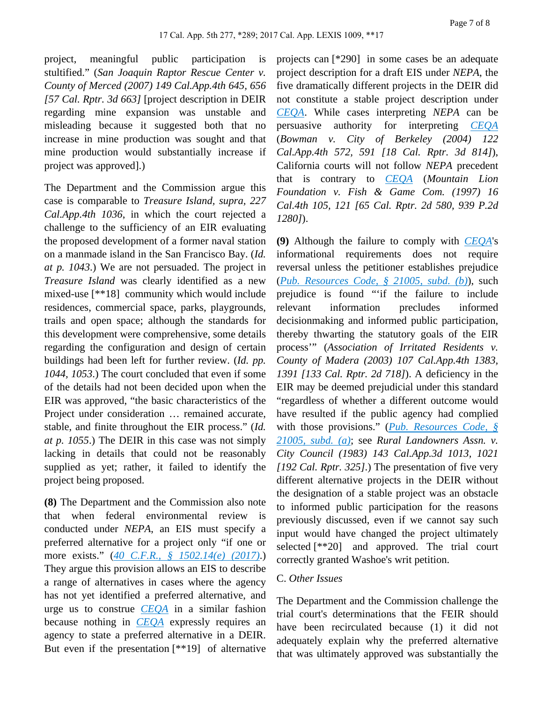project, meaningful public participation is stultified." (*San Joaquin Raptor Rescue Center v. County of Merced (2007) 149 Cal.App.4th 645, 656 [57 Cal. Rptr. 3d 663]* [project description in DEIR regarding mine expansion was unstable and misleading because it suggested both that no increase in mine production was sought and that mine production would substantially increase if project was approved].)

The Department and the Commission argue this case is comparable to *Treasure Island, supra, 227 Cal.App.4th 1036*, in which the court rejected a challenge to the sufficiency of an EIR evaluating the proposed development of a former naval station on a manmade island in the San Francisco Bay. (*Id. at p. 1043*.) We are not persuaded. The project in *Treasure Island* was clearly identified as a new mixed-use [\*\*18] community which would include residences, commercial space, parks, playgrounds, trails and open space; although the standards for this development were comprehensive, some details regarding the configuration and design of certain buildings had been left for further review. (*Id. pp. 1044, 1053*.) The court concluded that even if some of the details had not been decided upon when the EIR was approved, "the basic characteristics of the Project under consideration … remained accurate, stable, and finite throughout the EIR process." (*Id. at p. 1055*.) The DEIR in this case was not simply lacking in details that could not be reasonably supplied as yet; rather, it failed to identify the project being proposed.

**(8)** The Department and the Commission also note that when federal environmental review is conducted under *NEPA*, an EIS must specify a preferred alternative for a project only "if one or more exists." (*[40 C.F.R., § 1502.14\(e\) \(2017\)](https://advance.lexis.com/api/document?collection=administrative-codes&id=urn:contentItem:5PB2-K7X0-008H-03SH-00000-00&context=)*.) They argue this provision allows an EIS to describe a range of alternatives in cases where the agency has not yet identified a preferred alternative, and urge us to construe *[CEQA](https://advance.lexis.com/api/document?collection=statutes-legislation&id=urn:contentItem:5J6S-5YJ1-66B9-8516-00000-00&context=)* in a similar fashion because nothing in *[CEQA](https://advance.lexis.com/api/document?collection=statutes-legislation&id=urn:contentItem:5J6S-5YJ1-66B9-8516-00000-00&context=)* expressly requires an agency to state a preferred alternative in a DEIR. But even if the presentation [\*\*19] of alternative projects can [\*290] in some cases be an adequate project description for a draft EIS under *NEPA*, the five dramatically different projects in the DEIR did not constitute a stable project description under *[CEQA](https://advance.lexis.com/api/document?collection=statutes-legislation&id=urn:contentItem:5J6S-5YJ1-66B9-8516-00000-00&context=)*. While cases interpreting *NEPA* can be persuasive authority for interpreting *[CEQA](https://advance.lexis.com/api/document?collection=statutes-legislation&id=urn:contentItem:5J6S-5YJ1-66B9-8516-00000-00&context=)* (*Bowman v. City of Berkeley (2004) 122 Cal.App.4th 572, 591 [18 Cal. Rptr. 3d 814]*), California courts will not follow *NEPA* precedent that is contrary to *[CEQA](https://advance.lexis.com/api/document?collection=statutes-legislation&id=urn:contentItem:5J6S-5YJ1-66B9-8516-00000-00&context=)* (*Mountain Lion Foundation v. Fish & Game Com. (1997) 16 Cal.4th 105, 121 [65 Cal. Rptr. 2d 580, 939 P.2d 1280]*).

**(9)** Although the failure to comply with *[CEQA](https://advance.lexis.com/api/document?collection=statutes-legislation&id=urn:contentItem:5J6S-5YJ1-66B9-8516-00000-00&context=)*'s informational requirements does not require reversal unless the petitioner establishes prejudice (*[Pub. Resources Code, § 21005, subd. \(b\)](https://advance.lexis.com/api/document?collection=statutes-legislation&id=urn:contentItem:5J6S-5YJ1-66B9-851S-00000-00&context=)*), such prejudice is found "'if the failure to include relevant information precludes informed decisionmaking and informed public participation, thereby thwarting the statutory goals of the EIR process'" (*Association of Irritated Residents v. County of Madera (2003) 107 Cal.App.4th 1383, 1391 [133 Cal. Rptr. 2d 718]*). A deficiency in the EIR may be deemed prejudicial under this standard "regardless of whether a different outcome would have resulted if the public agency had complied with those provisions." (*[Pub. Resources Code, §](https://advance.lexis.com/api/document?collection=statutes-legislation&id=urn:contentItem:5J6S-5YJ1-66B9-851S-00000-00&context=)  [21005, subd. \(a\)](https://advance.lexis.com/api/document?collection=statutes-legislation&id=urn:contentItem:5J6S-5YJ1-66B9-851S-00000-00&context=)*; see *Rural Landowners Assn. v. City Council (1983) 143 Cal.App.3d 1013, 1021 [192 Cal. Rptr. 325]*.) The presentation of five very different alternative projects in the DEIR without the designation of a stable project was an obstacle to informed public participation for the reasons previously discussed, even if we cannot say such input would have changed the project ultimately selected [\*\*20] and approved. The trial court correctly granted Washoe's writ petition.

#### C. *Other Issues*

The Department and the Commission challenge the trial court's determinations that the FEIR should have been recirculated because (1) it did not adequately explain why the preferred alternative that was ultimately approved was substantially the